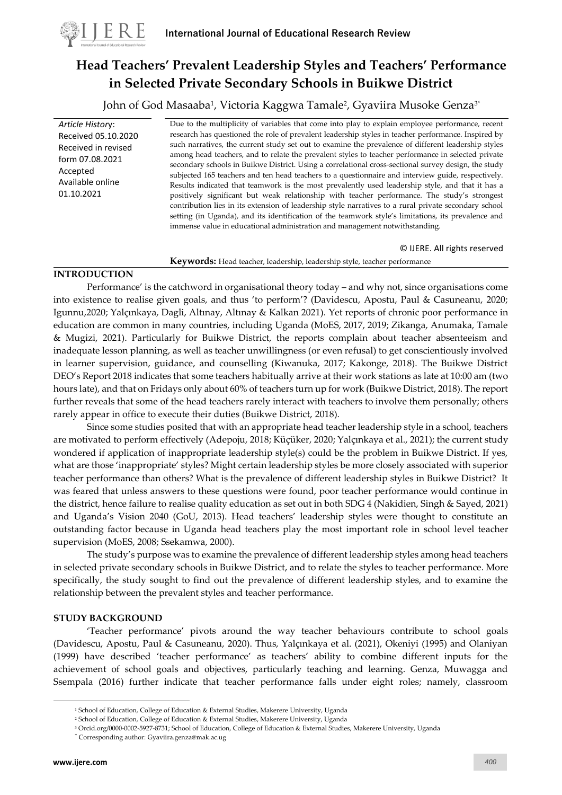

# **Head Teachers' Prevalent Leadership Styles and Teachers' Performance in Selected Private Secondary Schools in Buikwe District**

John of God Masaaba<sup>1</sup>, Victoria Kaggwa Tamale<sup>2</sup>, Gyaviira Musoke Genza<sup>3</sup>'

*Article Histor*y: Received 05.10.2020 Received in revised form 07.08.2021 Accepted Available online 01.10.2021

Due to the multiplicity of variables that come into play to explain employee performance, recent research has questioned the role of prevalent leadership styles in teacher performance. Inspired by such narratives, the current study set out to examine the prevalence of different leadership styles among head teachers, and to relate the prevalent styles to teacher performance in selected private secondary schools in Buikwe District. Using a correlational cross-sectional survey design, the study subjected 165 teachers and ten head teachers to a questionnaire and interview guide, respectively. Results indicated that teamwork is the most prevalently used leadership style, and that it has a positively significant but weak relationship with teacher performance. The study's strongest contribution lies in its extension of leadership style narratives to a rural private secondary school setting (in Uganda), and its identification of the teamwork style's limitations, its prevalence and immense value in educational administration and management notwithstanding.

© IJERE. All rights reserved **Keywords:** Head teacher, leadership, leadership style, teacher performance

## **INTRODUCTION**

Performance' is the catchword in organisational theory today – and why not, since organisations come into existence to realise given goals, and thus 'to perform'? (Davidescu, Apostu, Paul & Casuneanu, 2020; Igunnu,2020; Yalçınkaya, Dagli, Altınay, Altınay & Kalkan 2021). Yet reports of chronic poor performance in education are common in many countries, including Uganda (MoES, 2017, 2019; Zikanga, Anumaka, Tamale & Mugizi, 2021). Particularly for Buikwe District, the reports complain about teacher absenteeism and inadequate lesson planning, as well as teacher unwillingness (or even refusal) to get conscientiously involved in learner supervision, guidance, and counselling (Kiwanuka, 2017; Kakonge, 2018). The Buikwe District DEO's Report 2018 indicates that some teachers habitually arrive at their work stations as late at 10:00 am (two hours late), and that on Fridays only about 60% of teachers turn up for work (Buikwe District, 2018). The report further reveals that some of the head teachers rarely interact with teachers to involve them personally; others rarely appear in office to execute their duties (Buikwe District, 2018).

Since some studies posited that with an appropriate head teacher leadership style in a school, teachers are motivated to perform effectively (Adepoju, 2018; Küçüker, 2020; Yalçınkaya et al., 2021); the current study wondered if application of inappropriate leadership style(s) could be the problem in Buikwe District. If yes, what are those 'inappropriate' styles? Might certain leadership styles be more closely associated with superior teacher performance than others? What is the prevalence of different leadership styles in Buikwe District? It was feared that unless answers to these questions were found, poor teacher performance would continue in the district, hence failure to realise quality education as set out in both SDG 4 (Nakidien, Singh & Sayed, 2021) and Uganda's Vision 2040 (GoU, 2013). Head teachers' leadership styles were thought to constitute an outstanding factor because in Uganda head teachers play the most important role in school level teacher supervision (MoES, 2008; Ssekamwa, 2000).

The study's purpose was to examine the prevalence of different leadership styles among head teachers in selected private secondary schools in Buikwe District, and to relate the styles to teacher performance. More specifically, the study sought to find out the prevalence of different leadership styles, and to examine the relationship between the prevalent styles and teacher performance.

## **STUDY BACKGROUND**

'Teacher performance' pivots around the way teacher behaviours contribute to school goals (Davidescu, Apostu, Paul & Casuneanu, 2020). Thus, Yalçınkaya et al. (2021), Okeniyi (1995) and Olaniyan (1999) have described 'teacher performance' as teachers' ability to combine different inputs for the achievement of school goals and objectives, particularly teaching and learning. Genza, Muwagga and Ssempala (2016) further indicate that teacher performance falls under eight roles; namely, classroom

<sup>1</sup> School of Education, College of Education & External Studies, Makerere University, Uganda

<sup>2</sup> School of Education, College of Education & External Studies, Makerere University, Uganda

<sup>3</sup> Orcid.org/0000-0002-5927-8731; School of Education, College of Education & External Studies, Makerere University, Uganda

<sup>\*</sup> Corresponding author[: Gyaviira.genza@mak.ac.ug](mailto:Gyaviira.genza@mak.ac.ug)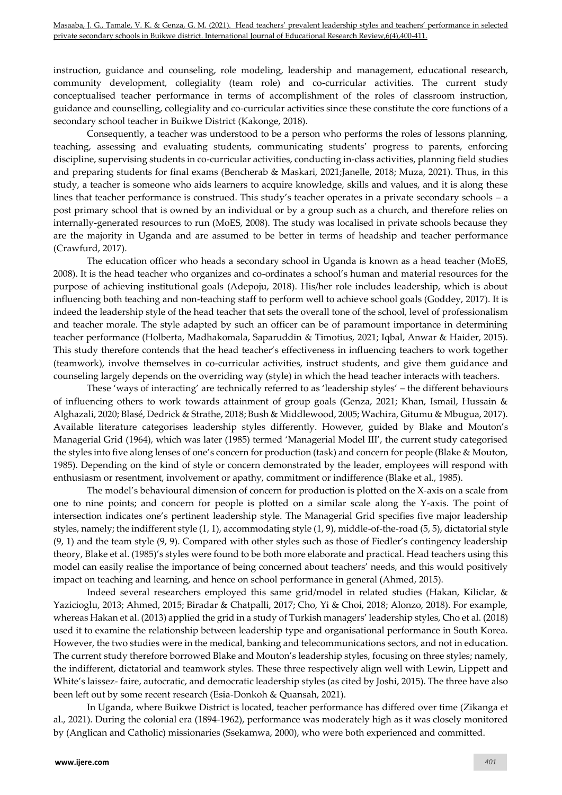instruction, guidance and counseling, role modeling, leadership and management, educational research, community development, collegiality (team role) and co-curricular activities. The current study conceptualised teacher performance in terms of accomplishment of the roles of classroom instruction, guidance and counselling, collegiality and co-curricular activities since these constitute the core functions of a secondary school teacher in Buikwe District (Kakonge, 2018).

Consequently, a teacher was understood to be a person who performs the roles of lessons planning, teaching, assessing and evaluating students, communicating students' progress to parents, enforcing discipline, supervising students in co-curricular activities, conducting in-class activities, planning field studies and preparing students for final exams (Bencherab & Maskari, 2021;Janelle, 2018; Muza, 2021). Thus, in this study, a teacher is someone who aids learners to acquire knowledge, skills and values, and it is along these lines that teacher performance is construed. This study's teacher operates in a private secondary schools – a post primary school that is owned by an individual or by a group such as a church, and therefore relies on internally-generated resources to run (MoES, 2008). The study was localised in private schools because they are the majority in Uganda and are assumed to be better in terms of headship and teacher performance (Crawfurd, 2017).

The education officer who heads a secondary school in Uganda is known as a head teacher (MoES, 2008). It is the head teacher who organizes and co-ordinates a school's human and material resources for the purpose of achieving institutional goals (Adepoju, 2018). His/her role includes leadership, which is about influencing both teaching and non-teaching staff to perform well to achieve school goals (Goddey, 2017). It is indeed the leadership style of the head teacher that sets the overall tone of the school, level of professionalism and teacher morale. The style adapted by such an officer can be of paramount importance in determining teacher performance (Holberta, Madhakomala, Saparuddin & Timotius, 2021; Iqbal, Anwar & Haider, 2015). This study therefore contends that the head teacher's effectiveness in influencing teachers to work together (teamwork), involve themselves in co-curricular activities, instruct students, and give them guidance and counseling largely depends on the overriding way (style) in which the head teacher interacts with teachers.

These 'ways of interacting' are technically referred to as 'leadership styles' – the different behaviours of influencing others to work towards attainment of group goals (Genza, 2021; Khan, Ismail, Hussain & Alghazali, 2020; Blasé, Dedrick & Strathe, 2018; Bush & Middlewood, 2005; Wachira, Gitumu & Mbugua, 2017). Available literature categorises leadership styles differently. However, guided by Blake and Mouton's Managerial Grid (1964), which was later (1985) termed 'Managerial Model III', the current study categorised the styles into five along lenses of one's concern for production (task) and concern for people (Blake & Mouton, 1985). Depending on the kind of style or concern demonstrated by the leader, employees will respond with enthusiasm or resentment, involvement or apathy, commitment or indifference (Blake et al., 1985).

The model's behavioural dimension of concern for production is plotted on the X-axis on a scale from one to nine points; and concern for people is plotted on a similar scale along the Y-axis. The point of intersection indicates one's pertinent leadership style. The Managerial Grid specifies five major leadership styles, namely; the indifferent style (1, 1), accommodating style (1, 9), middle-of-the-road (5, 5), dictatorial style (9, 1) and the team style (9, 9). Compared with other styles such as those of Fiedler's contingency leadership theory, Blake et al. (1985)'s styles were found to be both more elaborate and practical. Head teachers using this model can easily realise the importance of being concerned about teachers' needs, and this would positively impact on teaching and learning, and hence on school performance in general (Ahmed, 2015).

Indeed several researchers employed this same grid/model in related studies (Hakan, Kiliclar, & Yazicioglu, 2013; Ahmed, 2015; Biradar & Chatpalli, 2017; Cho, Yi & Choi, 2018; Alonzo, 2018). For example, whereas Hakan et al. (2013) applied the grid in a study of Turkish managers' leadership styles, Cho et al. (2018) used it to examine the relationship between leadership type and organisational performance in South Korea. However, the two studies were in the medical, banking and telecommunications sectors, and not in education. The current study therefore borrowed Blake and Mouton's leadership styles, focusing on three styles; namely, the indifferent, dictatorial and teamwork styles. These three respectively align well with Lewin, Lippett and White's laissez- faire, autocratic, and democratic leadership styles (as cited by Joshi, 2015). The three have also been left out by some recent research (Esia-Donkoh & Quansah, 2021).

In Uganda, where Buikwe District is located, teacher performance has differed over time (Zikanga et al., 2021). During the colonial era (1894-1962), performance was moderately high as it was closely monitored by (Anglican and Catholic) missionaries (Ssekamwa, 2000), who were both experienced and committed.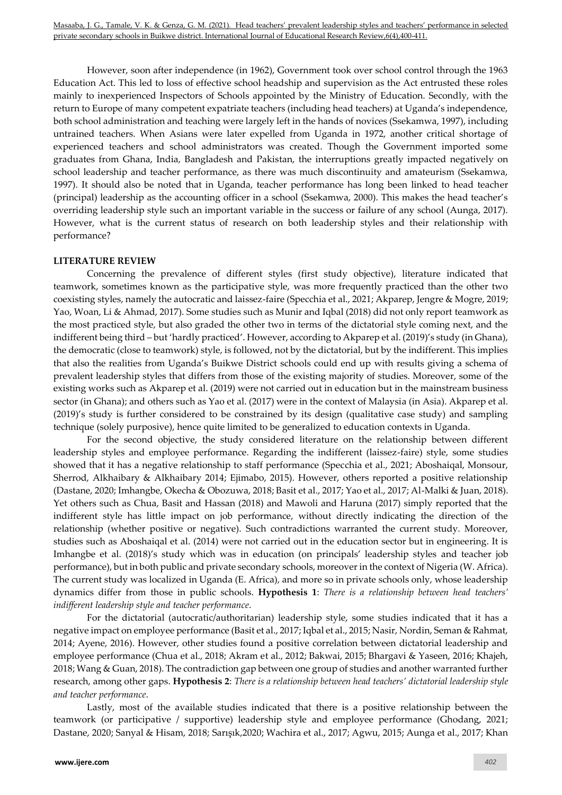However, soon after independence (in 1962), Government took over school control through the 1963 Education Act. This led to loss of effective school headship and supervision as the Act entrusted these roles mainly to inexperienced Inspectors of Schools appointed by the Ministry of Education. Secondly, with the return to Europe of many competent expatriate teachers (including head teachers) at Uganda's independence, both school administration and teaching were largely left in the hands of novices (Ssekamwa, 1997), including untrained teachers. When Asians were later expelled from Uganda in 1972, another critical shortage of experienced teachers and school administrators was created. Though the Government imported some graduates from Ghana, India, Bangladesh and Pakistan, the interruptions greatly impacted negatively on school leadership and teacher performance, as there was much discontinuity and amateurism (Ssekamwa, 1997). It should also be noted that in Uganda, teacher performance has long been linked to head teacher (principal) leadership as the accounting officer in a school (Ssekamwa, 2000). This makes the head teacher's overriding leadership style such an important variable in the success or failure of any school (Aunga, 2017). However, what is the current status of research on both leadership styles and their relationship with performance?

## **LITERATURE REVIEW**

Concerning the prevalence of different styles (first study objective), literature indicated that teamwork, sometimes known as the participative style, was more frequently practiced than the other two coexisting styles, namely the autocratic and laissez-faire (Specchia et al., 2021; Akparep, Jengre & Mogre, 2019; Yao, Woan, Li & Ahmad, 2017). Some studies such as Munir and Iqbal (2018) did not only report teamwork as the most practiced style, but also graded the other two in terms of the dictatorial style coming next, and the indifferent being third – but 'hardly practiced'. However, according to Akparep et al. (2019)'s study (in Ghana), the democratic (close to teamwork) style, is followed, not by the dictatorial, but by the indifferent. This implies that also the realities from Uganda's Buikwe District schools could end up with results giving a schema of prevalent leadership styles that differs from those of the existing majority of studies. Moreover, some of the existing works such as Akparep et al. (2019) were not carried out in education but in the mainstream business sector (in Ghana); and others such as Yao et al. (2017) were in the context of Malaysia (in Asia). Akparep et al. (2019)'s study is further considered to be constrained by its design (qualitative case study) and sampling technique (solely purposive), hence quite limited to be generalized to education contexts in Uganda.

For the second objective, the study considered literature on the relationship between different leadership styles and employee performance. Regarding the indifferent (laissez-faire) style, some studies showed that it has a negative relationship to staff performance (Specchia et al., 2021; Aboshaiqal, Monsour, Sherrod, Alkhaibary & Alkhaibary 2014; Ejimabo, 2015). However, others reported a positive relationship (Dastane, 2020; Imhangbe, Okecha & Obozuwa, 2018; Basit et al., 2017; Yao et al., 2017; Al-Malki & Juan, 2018). Yet others such as Chua, Basit and Hassan (2018) and Mawoli and Haruna (2017) simply reported that the indifferent style has little impact on job performance, without directly indicating the direction of the relationship (whether positive or negative). Such contradictions warranted the current study. Moreover, studies such as Aboshaiqal et al. (2014) were not carried out in the education sector but in engineering. It is Imhangbe et al. (2018)'s study which was in education (on principals' leadership styles and teacher job performance), but in both public and private secondary schools, moreover in the context of Nigeria (W. Africa). The current study was localized in Uganda (E. Africa), and more so in private schools only, whose leadership dynamics differ from those in public schools. **Hypothesis 1**: *There is a relationship between head teachers' indifferent leadership style and teacher performance*.

For the dictatorial (autocratic/authoritarian) leadership style, some studies indicated that it has a negative impact on employee performance (Basit et al., 2017; Iqbal et al., 2015; Nasir, Nordin, Seman & Rahmat, 2014; Ayene, 2016). However, other studies found a positive correlation between dictatorial leadership and employee performance (Chua et al., 2018; Akram et al., 2012; Bakwai, 2015; Bhargavi & Yaseen, 2016; Khajeh, 2018; Wang & Guan, 2018). The contradiction gap between one group of studies and another warranted further research, among other gaps. **Hypothesis 2**: *There is a relationship between head teachers' dictatorial leadership style and teacher performance*.

Lastly, most of the available studies indicated that there is a positive relationship between the teamwork (or participative / supportive) leadership style and employee performance (Ghodang, 2021; Dastane, 2020; Sanyal & Hisam, 2018; Sarışık,2020; Wachira et al., 2017; Agwu, 2015; Aunga et al., 2017; Khan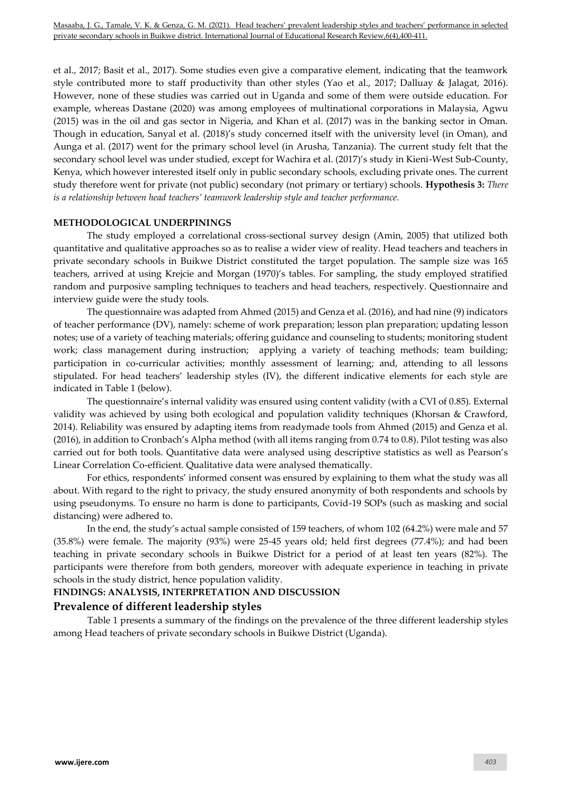et al., 2017; Basit et al., 2017). Some studies even give a comparative element, indicating that the teamwork style contributed more to staff productivity than other styles (Yao et al., 2017; Dalluay & Jalagat, 2016). However, none of these studies was carried out in Uganda and some of them were outside education. For example, whereas Dastane (2020) was among employees of multinational corporations in Malaysia, Agwu (2015) was in the oil and gas sector in Nigeria, and Khan et al. (2017) was in the banking sector in Oman. Though in education, Sanyal et al. (2018)'s study concerned itself with the university level (in Oman), and Aunga et al. (2017) went for the primary school level (in Arusha, Tanzania). The current study felt that the secondary school level was under studied, except for Wachira et al. (2017)'s study in Kieni-West Sub-County, Kenya, which however interested itself only in public secondary schools, excluding private ones. The current study therefore went for private (not public) secondary (not primary or tertiary) schools. **Hypothesis 3:** *There is a relationship between head teachers' teamwork leadership style and teacher performance.* 

## **METHODOLOGICAL UNDERPININGS**

The study employed a correlational cross-sectional survey design (Amin, 2005) that utilized both quantitative and qualitative approaches so as to realise a wider view of reality. Head teachers and teachers in private secondary schools in Buikwe District constituted the target population. The sample size was 165 teachers, arrived at using Krejcie and Morgan (1970)'s tables. For sampling, the study employed stratified random and purposive sampling techniques to teachers and head teachers, respectively. Questionnaire and interview guide were the study tools.

The questionnaire was adapted from Ahmed (2015) and Genza et al. (2016), and had nine (9) indicators of teacher performance (DV), namely: scheme of work preparation; lesson plan preparation; updating lesson notes; use of a variety of teaching materials; offering guidance and counseling to students; monitoring student work; class management during instruction; applying a variety of teaching methods; team building; participation in co-curricular activities; monthly assessment of learning; and, attending to all lessons stipulated. For head teachers' leadership styles (IV), the different indicative elements for each style are indicated in Table 1 (below).

The questionnaire's internal validity was ensured using content validity (with a CVI of 0.85). External validity was achieved by using both ecological and population validity techniques (Khorsan & Crawford, 2014). Reliability was ensured by adapting items from readymade tools from Ahmed (2015) and Genza et al. (2016), in addition to Cronbach's Alpha method (with all items ranging from 0.74 to 0.8). Pilot testing was also carried out for both tools. Quantitative data were analysed using descriptive statistics as well as Pearson's Linear Correlation Co-efficient. Qualitative data were analysed thematically.

For ethics, respondents' informed consent was ensured by explaining to them what the study was all about. With regard to the right to privacy, the study ensured anonymity of both respondents and schools by using pseudonyms. To ensure no harm is done to participants, Covid-19 SOPs (such as masking and social distancing) were adhered to.

In the end, the study's actual sample consisted of 159 teachers, of whom 102 (64.2%) were male and 57 (35.8%) were female. The majority (93%) were 25-45 years old; held first degrees (77.4%); and had been teaching in private secondary schools in Buikwe District for a period of at least ten years (82%). The participants were therefore from both genders, moreover with adequate experience in teaching in private schools in the study district, hence population validity.

## **FINDINGS: ANALYSIS, INTERPRETATION AND DISCUSSION**

## **Prevalence of different leadership styles**

Table 1 presents a summary of the findings on the prevalence of the three different leadership styles among Head teachers of private secondary schools in Buikwe District (Uganda).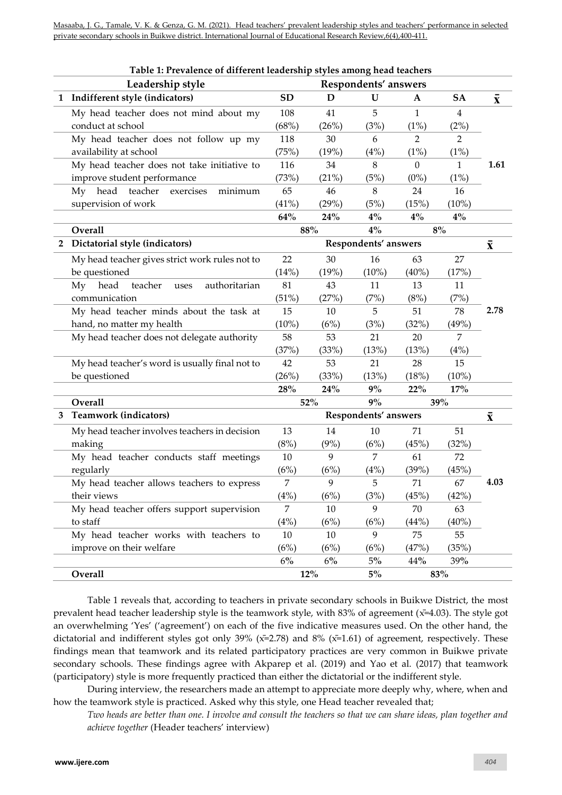Masaaba, J. G., Tamale, V. K. & Genza, G. M. (2021). Head teachers' prevalent leadership styles and teachers' performance in selected private secondary schools in Buikwe district. International Journal of Educational Research Review,6(4),400-411.

|                | Table 1: Prevalence of different leadership styles among head teachers |           |                      |                      |                  |                    |                    |
|----------------|------------------------------------------------------------------------|-----------|----------------------|----------------------|------------------|--------------------|--------------------|
|                | Leadership style                                                       |           |                      | Respondents' answers |                  |                    |                    |
|                | 1 Indifferent style (indicators)                                       | <b>SD</b> | D                    | $\mathbf U$          | $\mathbf{A}$     | <b>SA</b>          | $\bar{\mathbf{x}}$ |
|                | My head teacher does not mind about my                                 | 108       | 41                   | 5                    | $\mathbf{1}$     | $\overline{4}$     |                    |
|                | conduct at school                                                      | (68%)     | (26%)                | (3%)                 | (1%)             | (2%)               |                    |
|                | My head teacher does not follow up my                                  | 118       | 30                   | 6                    | $\overline{2}$   | $\overline{2}$     |                    |
|                | availability at school                                                 | (75%)     | (19%)                | (4%)                 | (1%)             | (1%)               |                    |
|                | My head teacher does not take initiative to                            | 116       | 34                   | 8                    | $\boldsymbol{0}$ | 1                  | 1.61               |
|                | improve student performance                                            | (73%)     | (21%)                | (5%)                 | $(0\%)$          | $(1\%)$            |                    |
|                | head<br>teacher<br>My<br>minimum<br>exercises                          | 65        | 46                   | 8                    | 24               | 16                 |                    |
|                | supervision of work                                                    | (41%)     | (29%)                | (5%)                 | (15%)            | $(10\%)$           |                    |
|                |                                                                        | 64%       | $24\%$               | $4\%$                | $4\%$            | $4\%$              |                    |
|                | Overall                                                                |           | $4\%$<br>88%         |                      | 8%               |                    |                    |
| $\overline{2}$ | Dictatorial style (indicators)                                         |           | Respondents' answers |                      |                  | $\bar{\mathbf{X}}$ |                    |
|                | My head teacher gives strict work rules not to                         | 22        | 30                   | 16                   | 63               | 27                 |                    |
|                | be questioned                                                          | (14%)     | (19%)                | $(10\%)$             | $(40\%)$         | (17%)              |                    |
|                | head<br>teacher<br>authoritarian<br>My<br>uses                         | 81        | 43                   | 11                   | 13               | 11                 |                    |
|                | communication                                                          | (51%)     | (27%)                | (7%)                 | (8%)             | (7%)               |                    |
|                | My head teacher minds about the task at                                | 15        | 10                   | 5                    | 51               | 78                 | 2.78               |
|                | hand, no matter my health                                              | (10%)     | (6%)                 | (3%)                 | (32%)            | (49%)              |                    |
|                | My head teacher does not delegate authority                            | 58        | 53                   | 21                   | 20               | 7                  |                    |
|                |                                                                        | (37%)     | (33%)                | (13%)                | (13%)            | (4%)               |                    |
|                | My head teacher's word is usually final not to                         | 42        | 53                   | 21                   | 28               | 15                 |                    |
|                | be questioned                                                          | (26%)     | (33%)                | (13%)                | (18%)            | $(10\%)$           |                    |
|                |                                                                        | 28%       | 24%                  | 9%                   | 22%              | 17%                |                    |
|                | Overall                                                                | 52%       |                      | 9%                   | 39%              |                    |                    |
| 3              | <b>Teamwork (indicators)</b>                                           |           | Respondents' answers |                      |                  |                    | $\bar{\mathbf{x}}$ |
|                | My head teacher involves teachers in decision                          | 13        | 14                   | 10                   | 71               | 51                 |                    |
|                | making                                                                 | (8%)      | (9%)                 | (6%)                 | (45%)            | (32%)              |                    |
|                | My head teacher conducts staff meetings                                | 10        | 9                    | 7                    | 61               | 72                 |                    |
|                | regularly                                                              | (6%)      | (6%)                 | (4%)                 | (39%)            | (45%)              |                    |
|                | My head teacher allows teachers to express                             | 7         | 9                    | 5                    | 71               | 67                 | 4.03               |
|                | their views                                                            | (4%)      | (6%)                 | (3%)                 | (45%)            | (42%)              |                    |
|                | My head teacher offers support supervision                             | 7         | 10                   | 9                    | 70               | 63                 |                    |
|                | to staff                                                               | (4%)      | (6%)                 | (6%)                 | (44%)            | $(40\%)$           |                    |
|                | My head teacher works with teachers to                                 | 10        | $10\,$               | 9                    | 75               | 55                 |                    |
|                | improve on their welfare                                               | (6%)      | (6%)                 | (6%)                 | (47%)            | (35%)              |                    |
|                |                                                                        | $6\%$     | $6\%$                | $5\%$                | 44%              | 39%                |                    |
|                | Overall                                                                |           | $12\%$               | $5\%$                |                  | $83\%$             |                    |

Table 1 reveals that, according to teachers in private secondary schools in Buikwe District, the most prevalent head teacher leadership style is the teamwork style, with 83% of agreement (x̄=4.03). The style got an overwhelming 'Yes' ('agreement') on each of the five indicative measures used. On the other hand, the dictatorial and indifferent styles got only 39% ( $\bar{x}$ =2.78) and 8% ( $\bar{x}$ =1.61) of agreement, respectively. These findings mean that teamwork and its related participatory practices are very common in Buikwe private secondary schools. These findings agree with Akparep et al. (2019) and Yao et al. (2017) that teamwork (participatory) style is more frequently practiced than either the dictatorial or the indifferent style.

During interview, the researchers made an attempt to appreciate more deeply why, where, when and how the teamwork style is practiced. Asked why this style, one Head teacher revealed that;

*Two heads are better than one. I involve and consult the teachers so that we can share ideas, plan together and achieve together* (Header teachers' interview)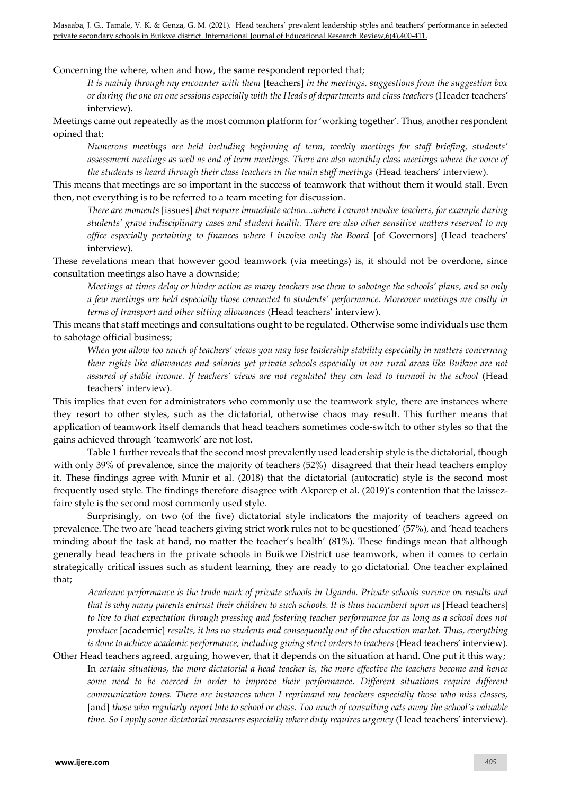Masaaba, J. G., Tamale, V. K. & Genza, G. M. (2021). Head teachers' prevalent leadership styles and teachers' performance in selected private secondary schools in Buikwe district. International Journal of Educational Research Review,6(4),400-411.

Concerning the where, when and how, the same respondent reported that;

*It is mainly through my encounter with them* [teachers] *in the meetings, suggestions from the suggestion box or during the one on one sessions especially with the Heads of departments and class teachers* (Header teachers' interview).

Meetings came out repeatedly as the most common platform for 'working together'. Thus, another respondent opined that;

*Numerous meetings are held including beginning of term, weekly meetings for staff briefing, students' assessment meetings as well as end of term meetings. There are also monthly class meetings where the voice of the students is heard through their class teachers in the main staff meetings* (Head teachers' interview).

This means that meetings are so important in the success of teamwork that without them it would stall. Even then, not everything is to be referred to a team meeting for discussion.

*There are moments* [issues] *that require immediate action...where I cannot involve teachers, for example during students' grave indisciplinary cases and student health. There are also other sensitive matters reserved to my office especially pertaining to finances where I involve only the Board* [of Governors] (Head teachers' interview).

These revelations mean that however good teamwork (via meetings) is, it should not be overdone, since consultation meetings also have a downside;

*Meetings at times delay or hinder action as many teachers use them to sabotage the schools' plans, and so only a few meetings are held especially those connected to students' performance. Moreover meetings are costly in terms of transport and other sitting allowances* (Head teachers' interview).

This means that staff meetings and consultations ought to be regulated. Otherwise some individuals use them to sabotage official business;

*When you allow too much of teachers' views you may lose leadership stability especially in matters concerning their rights like allowances and salaries yet private schools especially in our rural areas like Buikwe are not assured of stable income. If teachers' views are not regulated they can lead to turmoil in the school* (Head teachers' interview).

This implies that even for administrators who commonly use the teamwork style, there are instances where they resort to other styles, such as the dictatorial, otherwise chaos may result. This further means that application of teamwork itself demands that head teachers sometimes code-switch to other styles so that the gains achieved through 'teamwork' are not lost.

Table 1 further reveals that the second most prevalently used leadership style is the dictatorial, though with only 39% of prevalence, since the majority of teachers (52%) disagreed that their head teachers employ it. These findings agree with Munir et al. (2018) that the dictatorial (autocratic) style is the second most frequently used style. The findings therefore disagree with Akparep et al. (2019)'s contention that the laissezfaire style is the second most commonly used style.

Surprisingly, on two (of the five) dictatorial style indicators the majority of teachers agreed on prevalence. The two are 'head teachers giving strict work rules not to be questioned' (57%), and 'head teachers minding about the task at hand, no matter the teacher's health' (81%). These findings mean that although generally head teachers in the private schools in Buikwe District use teamwork, when it comes to certain strategically critical issues such as student learning, they are ready to go dictatorial. One teacher explained that;

*Academic performance is the trade mark of private schools in Uganda. Private schools survive on results and that is why many parents entrust their children to such schools. It is thus incumbent upon us* [Head teachers] *to live to that expectation through pressing and fostering teacher performance for as long as a school does not produce* [academic] *results, it has no students and consequently out of the education market. Thus, everything is done to achieve academic performance, including giving strict orders to teachers (Head teachers' interview).* 

Other Head teachers agreed, arguing, however, that it depends on the situation at hand. One put it this way; In *certain situations, the more dictatorial a head teacher is, the more effective the teachers become and hence some need to be coerced in order to improve their performance*. *Different situations require different communication tones. There are instances when I reprimand my teachers especially those who miss classes,*  [and] *those who regularly report late to school or class. Too much of consulting eats away the school's valuable time. So I apply some dictatorial measures especially where duty requires urgency* (Head teachers' interview).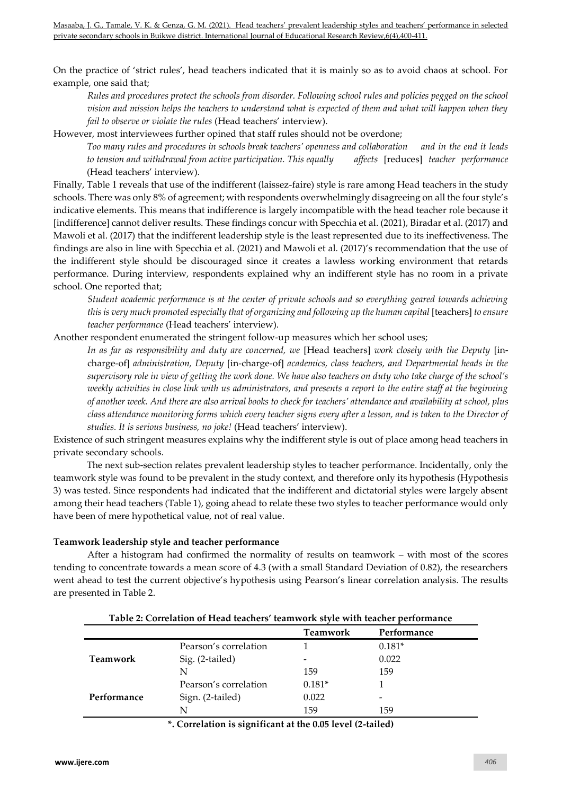On the practice of 'strict rules', head teachers indicated that it is mainly so as to avoid chaos at school. For example, one said that;

*Rules and procedures protect the schools from disorder. Following school rules and policies pegged on the school vision and mission helps the teachers to understand what is expected of them and what will happen when they fail to observe or violate the rules* (Head teachers' interview).

However, most interviewees further opined that staff rules should not be overdone;

*Too many rules and procedures in schools break teachers' openness and collaboration and in the end it leads to tension and withdrawal from active participation. This equally affects* [reduces] *teacher performance* (Head teachers' interview).

Finally, Table 1 reveals that use of the indifferent (laissez-faire) style is rare among Head teachers in the study schools. There was only 8% of agreement; with respondents overwhelmingly disagreeing on all the four style's indicative elements. This means that indifference is largely incompatible with the head teacher role because it [indifference] cannot deliver results. These findings concur with Specchia et al. (2021), Biradar et al. (2017) and Mawoli et al. (2017) that the indifferent leadership style is the least represented due to its ineffectiveness. The findings are also in line with Specchia et al. (2021) and Mawoli et al. (2017)'s recommendation that the use of the indifferent style should be discouraged since it creates a lawless working environment that retards performance. During interview, respondents explained why an indifferent style has no room in a private school. One reported that;

*Student academic performance is at the center of private schools and so everything geared towards achieving this is very much promoted especially that of organizing and following up the human capital* [teachers] *to ensure teacher performance* (Head teachers' interview).

Another respondent enumerated the stringent follow-up measures which her school uses;

*In as far as responsibility and duty are concerned, we* [Head teachers] *work closely with the Deputy* [incharge-of] *administration, Deputy* [in-charge-of] *academics, class teachers, and Departmental heads in the supervisory role in view of getting the work done. We have also teachers on duty who take charge of the school's weekly activities in close link with us administrators, and presents a report to the entire staff at the beginning of another week. And there are also arrival books to check for teachers' attendance and availability at school, plus class attendance monitoring forms which every teacher signs every after a lesson, and is taken to the Director of studies. It is serious business, no joke!* (Head teachers' interview).

Existence of such stringent measures explains why the indifferent style is out of place among head teachers in private secondary schools.

The next sub-section relates prevalent leadership styles to teacher performance. Incidentally, only the teamwork style was found to be prevalent in the study context, and therefore only its hypothesis (Hypothesis 3) was tested. Since respondents had indicated that the indifferent and dictatorial styles were largely absent among their head teachers (Table 1), going ahead to relate these two styles to teacher performance would only have been of mere hypothetical value, not of real value.

## **Teamwork leadership style and teacher performance**

After a histogram had confirmed the normality of results on teamwork – with most of the scores tending to concentrate towards a mean score of 4.3 (with a small Standard Deviation of 0.82), the researchers went ahead to test the current objective's hypothesis using Pearson's linear correlation analysis. The results are presented in Table 2.

| Table 2: Correlation of Head teachers' teamwork style with teacher performance |                       |                 |             |  |  |
|--------------------------------------------------------------------------------|-----------------------|-----------------|-------------|--|--|
|                                                                                |                       | <b>Teamwork</b> | Performance |  |  |
|                                                                                | Pearson's correlation |                 | $0.181*$    |  |  |
| Teamwork                                                                       | Sig. (2-tailed)       |                 | 0.022       |  |  |
|                                                                                | N                     | 159             | 159         |  |  |
|                                                                                | Pearson's correlation | $0.181*$        |             |  |  |
| Performance                                                                    | Sign. (2-tailed)      | 0.022           |             |  |  |
|                                                                                | N                     | 159             | 159         |  |  |
|                                                                                |                       |                 |             |  |  |

**\*. Correlation is significant at the 0.05 level (2-tailed)**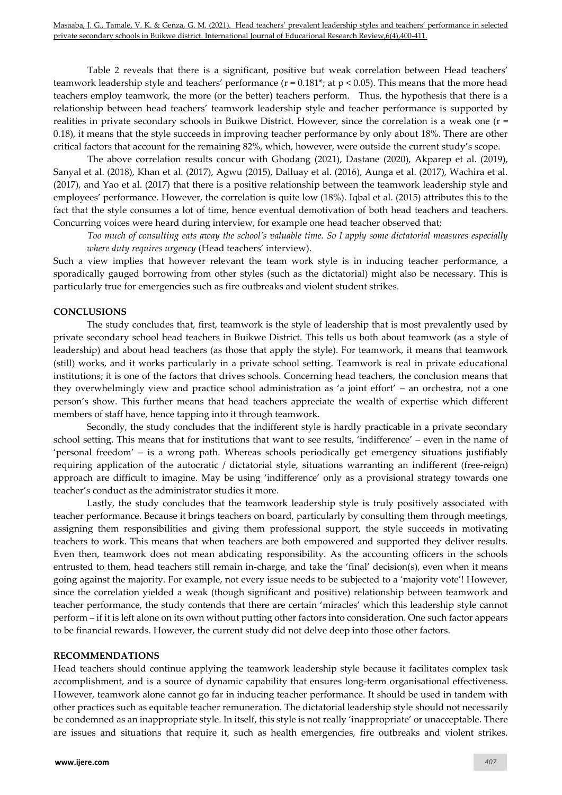Table 2 reveals that there is a significant, positive but weak correlation between Head teachers' teamwork leadership style and teachers' performance  $(r = 0.181^*; at p < 0.05)$ . This means that the more head teachers employ teamwork, the more (or the better) teachers perform. Thus, the hypothesis that there is a relationship between head teachers' teamwork leadership style and teacher performance is supported by realities in private secondary schools in Buikwe District. However, since the correlation is a weak one (r = 0.18), it means that the style succeeds in improving teacher performance by only about 18%. There are other critical factors that account for the remaining 82%, which, however, were outside the current study's scope.

The above correlation results concur with Ghodang (2021), Dastane (2020), Akparep et al. (2019), Sanyal et al. (2018), Khan et al. (2017), Agwu (2015), Dalluay et al. (2016), Aunga et al. (2017), Wachira et al. (2017), and Yao et al. (2017) that there is a positive relationship between the teamwork leadership style and employees' performance. However, the correlation is quite low (18%). Iqbal et al. (2015) attributes this to the fact that the style consumes a lot of time, hence eventual demotivation of both head teachers and teachers. Concurring voices were heard during interview, for example one head teacher observed that;

*Too much of consulting eats away the school's valuable time. So I apply some dictatorial measures especially where duty requires urgency* (Head teachers' interview).

Such a view implies that however relevant the team work style is in inducing teacher performance, a sporadically gauged borrowing from other styles (such as the dictatorial) might also be necessary. This is particularly true for emergencies such as fire outbreaks and violent student strikes.

## **CONCLUSIONS**

The study concludes that, first, teamwork is the style of leadership that is most prevalently used by private secondary school head teachers in Buikwe District. This tells us both about teamwork (as a style of leadership) and about head teachers (as those that apply the style). For teamwork, it means that teamwork (still) works, and it works particularly in a private school setting. Teamwork is real in private educational institutions; it is one of the factors that drives schools. Concerning head teachers, the conclusion means that they overwhelmingly view and practice school administration as 'a joint effort' – an orchestra, not a one person's show. This further means that head teachers appreciate the wealth of expertise which different members of staff have, hence tapping into it through teamwork.

Secondly, the study concludes that the indifferent style is hardly practicable in a private secondary school setting. This means that for institutions that want to see results, 'indifference' – even in the name of 'personal freedom' – is a wrong path. Whereas schools periodically get emergency situations justifiably requiring application of the autocratic / dictatorial style, situations warranting an indifferent (free-reign) approach are difficult to imagine. May be using 'indifference' only as a provisional strategy towards one teacher's conduct as the administrator studies it more.

Lastly, the study concludes that the teamwork leadership style is truly positively associated with teacher performance. Because it brings teachers on board, particularly by consulting them through meetings, assigning them responsibilities and giving them professional support, the style succeeds in motivating teachers to work. This means that when teachers are both empowered and supported they deliver results. Even then, teamwork does not mean abdicating responsibility. As the accounting officers in the schools entrusted to them, head teachers still remain in-charge, and take the 'final' decision(s), even when it means going against the majority. For example, not every issue needs to be subjected to a 'majority vote'! However, since the correlation yielded a weak (though significant and positive) relationship between teamwork and teacher performance, the study contends that there are certain 'miracles' which this leadership style cannot perform – if it is left alone on its own without putting other factors into consideration. One such factor appears to be financial rewards. However, the current study did not delve deep into those other factors.

## **RECOMMENDATIONS**

Head teachers should continue applying the teamwork leadership style because it facilitates complex task accomplishment, and is a source of dynamic capability that ensures long-term organisational effectiveness. However, teamwork alone cannot go far in inducing teacher performance. It should be used in tandem with other practices such as equitable teacher remuneration. The dictatorial leadership style should not necessarily be condemned as an inappropriate style. In itself, this style is not really 'inappropriate' or unacceptable. There are issues and situations that require it, such as health emergencies, fire outbreaks and violent strikes.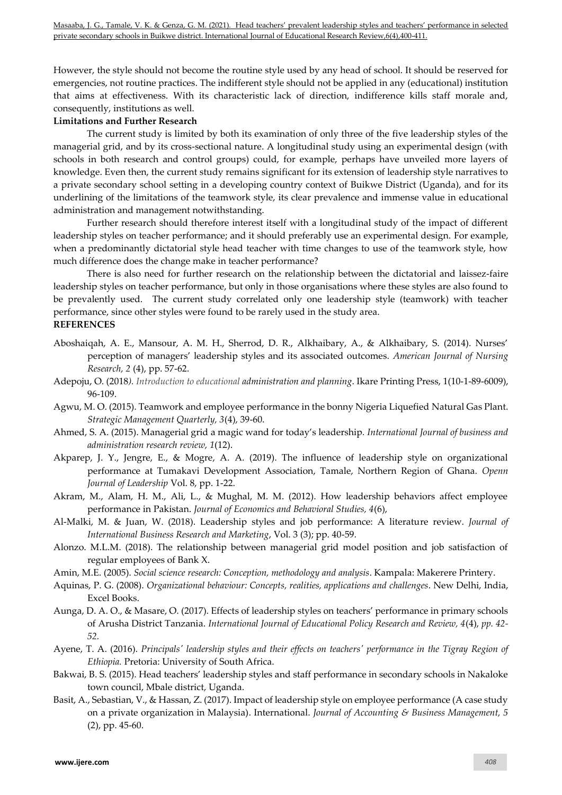However, the style should not become the routine style used by any head of school. It should be reserved for emergencies, not routine practices. The indifferent style should not be applied in any (educational) institution that aims at effectiveness. With its characteristic lack of direction, indifference kills staff morale and, consequently, institutions as well.

## **Limitations and Further Research**

The current study is limited by both its examination of only three of the five leadership styles of the managerial grid, and by its cross-sectional nature. A longitudinal study using an experimental design (with schools in both research and control groups) could, for example, perhaps have unveiled more layers of knowledge. Even then, the current study remains significant for its extension of leadership style narratives to a private secondary school setting in a developing country context of Buikwe District (Uganda), and for its underlining of the limitations of the teamwork style, its clear prevalence and immense value in educational administration and management notwithstanding.

Further research should therefore interest itself with a longitudinal study of the impact of different leadership styles on teacher performance; and it should preferably use an experimental design. For example, when a predominantly dictatorial style head teacher with time changes to use of the teamwork style, how much difference does the change make in teacher performance?

There is also need for further research on the relationship between the dictatorial and laissez-faire leadership styles on teacher performance, but only in those organisations where these styles are also found to be prevalently used. The current study correlated only one leadership style (teamwork) with teacher performance, since other styles were found to be rarely used in the study area.

## **REFERENCES**

- Aboshaiqah, A. E., Mansour, A. M. H., Sherrod, D. R., Alkhaibary, A., & Alkhaibary, S. (2014). Nurses' perception of managers' leadership styles and its associated outcomes. *American Journal of Nursing Research, 2* (4), pp. 57-62.
- Adepoju, O. (2018*). Introduction to educational administration and planning*. Ikare Printing Press, 1(10-1-89-6009), 96-109.
- Agwu, M. O. (2015). Teamwork and employee performance in the bonny Nigeria Liquefied Natural Gas Plant. *Strategic Management Quarterly, 3*(4), 39-60.
- Ahmed, S. A. (2015). Managerial grid a magic wand for today's leadership*. International Journal of business and administration research review, 1*(12).
- Akparep, J. Y., Jengre, E., & Mogre, A. A. (2019). The influence of leadership style on organizational performance at Tumakavi Development Association, Tamale, Northern Region of Ghana. *Openn Journal of Leadership* Vol. 8, pp. 1-22.
- Akram, M., Alam, H. M., Ali, L., & Mughal, M. M. (2012). How leadership behaviors affect employee performance in Pakistan. *Journal of Economics and Behavioral Studies, 4*(6),
- Al-Malki, M. & Juan, W. (2018). Leadership styles and job performance: A literature review. *Journal of International Business Research and Marketing*, Vol. 3 (3); pp. 40-59.
- Alonzo. M.L.M. (2018). The relationship between managerial grid model position and job satisfaction of regular employees of Bank X.
- Amin, M.E. (2005). *Social science research: Conception, methodology and analysis*. Kampala: Makerere Printery.
- Aquinas, P. G. (2008). *Organizational behaviour: Concepts, realities, applications and challenges*. New Delhi, India, Excel Books.
- Aunga, D. A. O., & Masare, O. (2017). Effects of leadership styles on teachers' performance in primary schools of Arusha District Tanzania. *International Journal of Educational Policy Research and Review, 4*(4), *pp. 42- 52.*
- Ayene, T. A. (2016). *Principals' leadership styles and their effects on teachers' performance in the Tigray Region of Ethiopia.* Pretoria: University of South Africa.
- Bakwai, B. S. (2015). Head teachers' leadership styles and staff performance in secondary schools in Nakaloke town council, Mbale district, Uganda.
- Basit, A., Sebastian, V., & Hassan, Z. (2017). Impact of leadership style on employee performance (A case study on a private organization in Malaysia). International. *Journal of Accounting & Business Management, 5*  (2), pp. 45-60.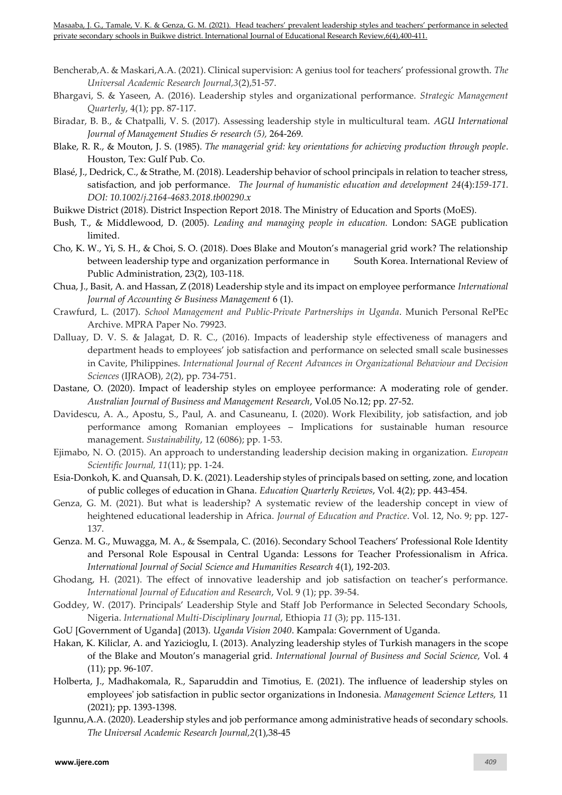- Bencherab,A. & Maskari,A.A. (2021). Clinical supervision: A genius tool for teachers' professional growth. *The Universal Academic Research Journal,3*(2),51-57.
- Bhargavi, S. & Yaseen, A. (2016). Leadership styles and organizational performance. *Strategic Management Quarterly*, 4(1); pp. 87-117.
- Biradar, B. B., & Chatpalli, V. S. (2017). Assessing leadership style in multicultural team. *AGU International Journal of Management Studies & research (5),* 264-269*.*
- Blake, R. R., & Mouton, J. S. (1985). *The managerial grid: key orientations for achieving production through people*. Houston, Tex: Gulf Pub. Co.
- Blasé, J., Dedrick, C., & Strathe, M. (2018). Leadership behavior of school principals in relation to teacher stress, satisfaction, and job performance. *[The Journal of humanistic education and development](https://www.researchgate.net/journal/0735-6846_The_Journal_of_humanistic_education_and_development) 24*(4):*159-171. DOI[: 10.1002/j.2164-4683.2018.tb00290.x](http://dx.doi.org/10.1002/j.2164-4683.1986.tb00290.x)*
- Buikwe District (2018). District Inspection Report 2018. The Ministry of Education and Sports (MoES).
- Bush, T., & Middlewood, D. (2005). *Leading and managing people in education.* London: SAGE publication limited.
- Cho, K. W., Yi, S. H., & Choi, S. O. (2018). Does Blake and Mouton's managerial grid work? The relationship between leadership type and organization performance in South Korea. International Review of Public Administration, 23(2), 103-118.
- Chua, J., Basit, A. and Hassan, Z (2018) Leadership style and its impact on employee performance *International Journal of Accounting & Business Management* 6 (1).
- Crawfurd, L. (2017). *School Management and Public-Private Partnerships in Uganda*. Munich Personal RePEc Archive. MPRA Paper No. 79923.
- Dalluay, D. V. S. & Jalagat, D. R. C., (2016). Impacts of leadership style effectiveness of managers and department heads to employees' job satisfaction and performance on selected small scale businesses in Cavite, Philippines. *International Journal of Recent Advances in Organizational Behaviour and Decision Sciences* (IJRAOB), *2*(2), pp. 734-751.
- Dastane, O. (2020). Impact of leadership styles on employee performance: A moderating role of gender. *Australian Journal of Business and Management Research*, Vol.05 No.12; pp. 27-52.
- Davidescu, A. A., Apostu, S., Paul, A. and Casuneanu, I. (2020). Work Flexibility, job satisfaction, and job performance among Romanian employees – Implications for sustainable human resource management. *Sustainability*, 12 (6086); pp. 1-53.
- Ejimabo, N. O. (2015). An approach to understanding leadership decision making in organization. *European Scientific Journal, 11*(11); pp. 1-24.
- Esia-Donkoh, K. and Quansah, D. K. (2021). Leadership styles of principals based on setting, zone, and location of public colleges of education in Ghana. *Education Quarterly Reviews*, Vol. 4(2); pp. 443-454.
- Genza, G. M. (2021). But what is leadership? A systematic review of the leadership concept in view of heightened educational leadership in Africa. *Journal of Education and Practice*. Vol. 12, No. 9; pp. 127- 137.
- Genza. M. G., Muwagga, M. A., & Ssempala, C. (2016). Secondary School Teachers' Professional Role Identity and Personal Role Espousal in Central Uganda: Lessons for Teacher Professionalism in Africa. *International Journal of Social Science and Humanities Research 4*(1), 192-203.
- Ghodang, H. (2021). The effect of innovative leadership and job satisfaction on teacher's performance. *International Journal of Education and Research*, Vol. 9 (1); pp. 39-54.
- Goddey, W. (2017). Principals' Leadership Style and Staff Job Performance in Selected Secondary Schools, Nigeria. *International Multi-Disciplinary Journal*, Ethiopia *11* (3); pp. 115-131.
- GoU [Government of Uganda] (2013). *Uganda Vision 2040*. Kampala: Government of Uganda.
- Hakan, K. Kiliclar, A. and Yazicioglu, I. (2013). Analyzing leadership styles of Turkish managers in the scope of the Blake and Mouton's managerial grid. *International Journal of Business and Social Science,* Vol. 4 (11); pp. 96-107.
- Holberta, J., Madhakomala, R., Saparuddin and Timotius, E. (2021). The influence of leadership styles on employees' job satisfaction in public sector organizations in Indonesia. *Management Science Letters,* 11 (2021); pp. 1393-1398.
- Igunnu,A.A. (2020). Leadership styles and job performance among administrative heads of secondary schools. *The Universal Academic Research Journal,2*(1),38-45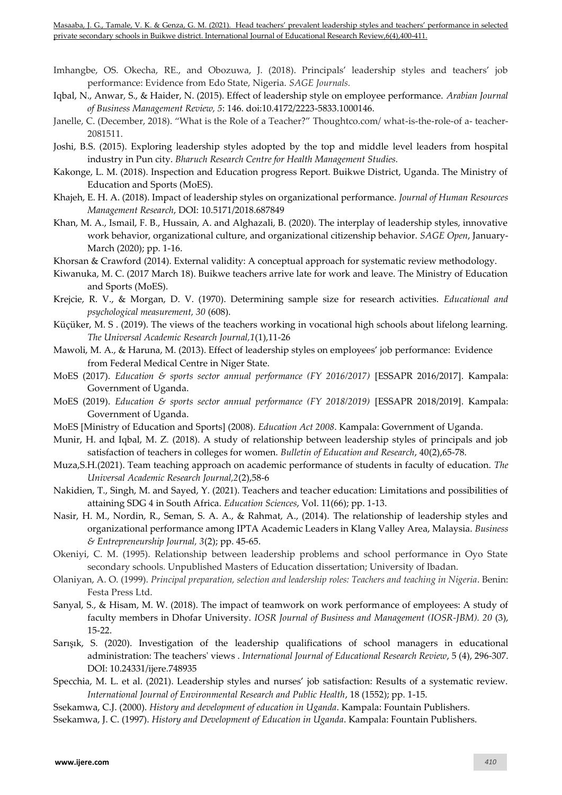- Imhangbe, OS. Okecha, RE., and Obozuwa, J. (2018). Principals' leadership styles and teachers' job performance: Evidence from Edo State, Nigeria. *SAGE Journals.*
- Iqbal, N., Anwar, S., & Haider, N. (2015). Effect of leadership style on employee performance. *Arabian Journal of Business Management Review, 5*: 146. doi:10.4172/2223-5833.1000146.
- Janelle, C. (December, 2018). "What is the Role of a Teacher?" Thoughtco.com/ what-is-the-role-of a- teacher-2081511.
- Joshi, B.S. (2015). Exploring leadership styles adopted by the top and middle level leaders from hospital industry in Pun city. *Bharuch Research Centre for Health Management Studies.*
- Kakonge, L. M. (2018). Inspection and Education progress Report. Buikwe District, Uganda. The Ministry of Education and Sports (MoES).
- Khajeh, E. H. A. (2018). Impact of leadership styles on organizational performance. *Journal of Human Resources Management Research*, DOI: 10.5171/2018.687849
- Khan, M. A., Ismail, F. B., Hussain, A. and Alghazali, B. (2020). The interplay of leadership styles, innovative work behavior, organizational culture, and organizational citizenship behavior. *SAGE Open*, January-March (2020); pp. 1-16.
- Khorsan & Crawford (2014). External validity: A conceptual approach for systematic review methodology.
- Kiwanuka, M. C. (2017 March 18). Buikwe teachers arrive late for work and leave. The Ministry of Education and Sports (MoES).
- Krejcie, R. V., & Morgan, D. V. (1970). Determining sample size for research activities. *Educational and psychological measurement, 30* (608).
- Küçüker, M. S . (2019). The views of the teachers working in vocational high schools about lifelong learning. *The Universal Academic Research Journal,1*(1),11-26
- Mawoli, M. A., & Haruna, M. (2013). Effect of leadership styles on employees' job performance: Evidence from Federal Medical Centre in Niger State.
- MoES (2017). *Education & sports sector annual performance (FY 2016/2017)* [ESSAPR 2016/2017]. Kampala: Government of Uganda.
- MoES (2019). *Education & sports sector annual performance (FY 2018/2019)* [ESSAPR 2018/2019]. Kampala: Government of Uganda.
- MoES [Ministry of Education and Sports] (2008). *Education Act 2008*. Kampala: Government of Uganda.
- Munir, H. and Iqbal, M. Z. (2018). A study of relationship between leadership styles of principals and job satisfaction of teachers in colleges for women. *Bulletin of Education and Research*, 40(2),65-78.
- Muza,S.H.(2021). Team teaching approach on academic performance of students in faculty of education. *The Universal Academic Research Journal,2*(2),58-6
- Nakidien, T., Singh, M. and Sayed, Y. (2021). Teachers and teacher education: Limitations and possibilities of attaining SDG 4 in South Africa. *Education Sciences*, Vol. 11(66); pp. 1-13.
- Nasir, H. M., Nordin, R., Seman, S. A. A., & Rahmat, A., (2014). The relationship of leadership styles and organizational performance among IPTA Academic Leaders in Klang Valley Area, Malaysia. *Business & Entrepreneurship Journal, 3*(2); pp. 45-65.
- Okeniyi, C. M. (1995). Relationship between leadership problems and school performance in Oyo State secondary schools. Unpublished Masters of Education dissertation; University of Ibadan.
- Olaniyan, A. O. (1999). *Principal preparation, selection and leadership roles: Teachers and teaching in Nigeria*. Benin: Festa Press Ltd.
- Sanyal, S., & Hisam, M. W. (2018). The impact of teamwork on work performance of employees: A study of faculty members in Dhofar University. *IOSR Journal of Business and Management (IOSR-JBM). 20* (3), 15-22.
- Sarışık, S. (2020). Investigation of the leadership qualifications of school managers in educational administration: The teachers' views . *International Journal of Educational Research Review*, 5 (4), 296-307. DOI: 10.24331/ijere.748935
- Specchia, M. L. et al. (2021). Leadership styles and nurses' job satisfaction: Results of a systematic review. *International Journal of Environmental Research and Public Health*, 18 (1552); pp. 1-15.
- Ssekamwa, C.J. (2000). *History and development of education in Uganda*. Kampala: Fountain Publishers.
- Ssekamwa, J. C. (1997). *History and Development of Education in Uganda*. Kampala: Fountain Publishers.